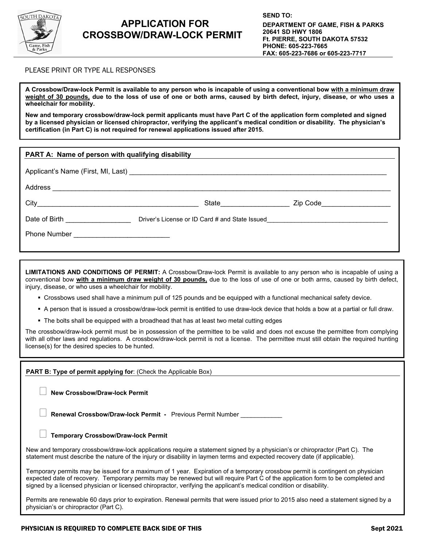

## **APPLICATION FOR CROSSBOW/DRAW-LOCK PERMIT**

## PLEASE PRINT OR TYPE ALL RESPONSES

**A Crossbow/Draw-lock Permit is available to any person who is incapable of using a conventional bow with a minimum draw weight of 30 pounds, due to the loss of use of one or both arms, caused by birth defect, injury, disease, or who uses a wheelchair for mobility.** 

**New and temporary crossbow/draw-lock permit applicants must have Part C of the application form completed and signed by a licensed physician or licensed chiropractor, verifying the applicant's medical condition or disability. The physician's certification (in Part C) is not required for renewal applications issued after 2015.**

| PART A: Name of person with qualifying disability |                                                                                  |                             |  |  |
|---------------------------------------------------|----------------------------------------------------------------------------------|-----------------------------|--|--|
|                                                   |                                                                                  |                             |  |  |
|                                                   |                                                                                  |                             |  |  |
|                                                   | State <b>State</b>                                                               | Zip Code <b>All Accords</b> |  |  |
| Date of Birth <b>Exercise Services</b>            | Driver's License or ID Card # and State Issued__________________________________ |                             |  |  |
|                                                   |                                                                                  |                             |  |  |
|                                                   |                                                                                  |                             |  |  |

**LIMITATIONS AND CONDITIONS OF PERMIT:** A Crossbow/Draw-lock Permit is available to any person who is incapable of using a conventional bow **with a minimum draw weight of 30 pounds,** due to the loss of use of one or both arms, caused by birth defect, injury, disease, or who uses a wheelchair for mobility.

- Crossbows used shall have a minimum pull of 125 pounds and be equipped with a functional mechanical safety device.
- A person that is issued a crossbow/draw-lock permit is entitled to use draw-lock device that holds a bow at a partial or full draw.
- The bolts shall be equipped with a broadhead that has at least two metal cutting edges

The crossbow/draw-lock permit must be in possession of the permittee to be valid and does not excuse the permittee from complying with all other laws and regulations. A crossbow/draw-lock permit is not a license. The permittee must still obtain the required hunting license(s) for the desired species to be hunted.

**PART B: Type of permit applying for**: (Check the Applicable Box) **New Crossbow/Draw-lock Permit Renewal Crossbow/Draw-lock Permit -** Previous Permit Number \_\_\_\_\_\_\_\_\_\_\_\_ **Temporary Crossbow/Draw-lock Permit** New and temporary crossbow/draw-lock applications require a statement signed by a physician's or chiropractor (Part C). The statement must describe the nature of the injury or disability in laymen terms and expected recovery date (if applicable). Temporary permits may be issued for a maximum of 1 year. Expiration of a temporary crossbow permit is contingent on physician expected date of recovery. Temporary permits may be renewed but will require Part C of the application form to be completed and signed by a licensed physician or licensed chiropractor, verifying the applicant's medical condition or disability.

Permits are renewable 60 days prior to expiration. Renewal permits that were issued prior to 2015 also need a statement signed by a physician's or chiropractor (Part C).